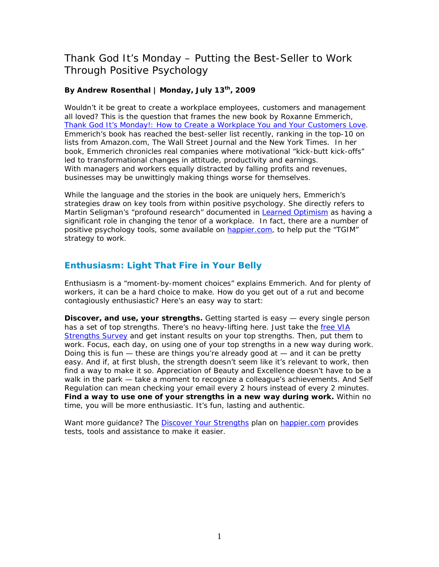## Thank God It's Monday – Putting the Best-Seller to Work Through Positive Psychology

## **By Andrew Rosenthal | Monday, July 13th, 2009**

Wouldn't it be great to create a workplace employees, customers and management all loved? This is the question that frames the new book by Roxanne Emmerich, *[Thank God It's Monday!: How to Create a Workplace You and Your Customers Love](http://www.amazon.com/gp/product/0138158053?ie=UTF8&tag=happierinsigh-20&linkCode=as2&camp=1789&creative=390957&creativeASIN=0138158053).* Emmerich's book has reached the best-seller list recently, ranking in the top-10 on lists from Amazon.com, The Wall Street Journal and the New York Times. In her book, Emmerich chronicles real companies where motivational "kick-butt kick-offs" led to transformational changes in attitude, productivity and earnings. With managers and workers equally distracted by falling profits and revenues, businesses may be unwittingly making things worse for themselves.

While the language and the stories in the book are uniquely hers, Emmerich's strategies draw on key tools from within positive psychology. She directly refers to Martin Seligman's "profound research" documented in *[Learned Optimism](http://www.amazon.com/gp/product/1400078393?ie=UTF8&tag=happierinsigh-20&linkCode=as2&camp=1789&creative=390957&creativeASIN=1400078393)* as having a significant role in changing the tenor of a workplace. In fact, there are a number of positive psychology tools, some available on [happier.com,](http://www.happier.com/) to help put the "TGIM" strategy to work.

## **Enthusiasm: Light That Fire in Your Belly**

Enthusiasm is a "moment-by-moment choices" explains Emmerich. And for plenty of workers, it can be a hard choice to make. How do you get out of a rut and become contagiously enthusiastic? Here's an easy way to start:

**Discover, and use, your strengths.** Getting started is easy — every single person has a set of top strengths. There's no heavy-lifting here. Just take the free VIA [Strengths Survey](http://happier.com/offerings.jsp?slide=VIA_Survey) and get instant results on your top strengths. Then, put them to work. Focus, each day, on using one of your top strengths in a new way during work. Doing this is fun — these are things you're already good at — and it can be pretty easy. And if, at first blush, the strength doesn't seem like it's relevant to work, then find a way to make it so. *Appreciation of Beauty and Excellence* doesn't have to be a walk in the park — take a moment to recognize a colleague's achievements. And *Self Regulation* can mean checking your email every 2 hours instead of every 2 minutes. **Find a way to use one of your strengths in a new way during work.** Within no time, you will be more enthusiastic. It's fun, lasting and authentic.

Want more quidance? The [Discover Your Strengths](http://www.happier.com/Plans/discover_my_strengths.jsp) plan on [happier.com](http://www.happier.com/) provides tests, tools and assistance to make it easier.